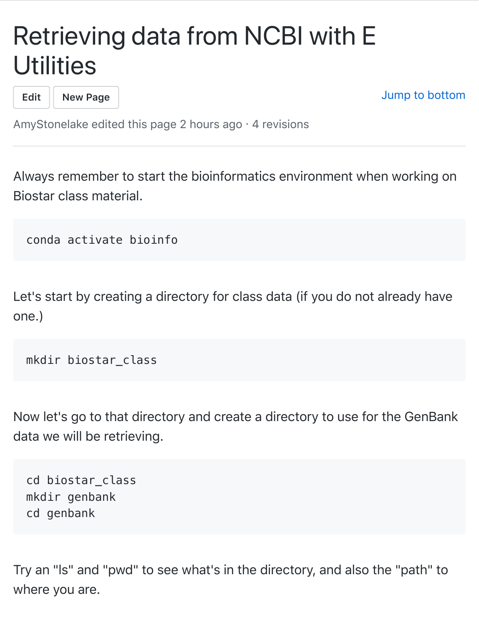## Retrieving data from NCBI with E **[Util](https://github.com/AmyStonelake/BTEP/wiki/Retrieving-data-from-NCBI-with-E-Utilities/_edit)[ities](https://github.com/AmyStonelake/BTEP/wiki/_new)**

**Edit New Page**

Jump to bottom

AmyStonelake edited this page 2 hours ago  $\cdot$  4 revisions

Always remember to start the bioinformatics environment when working on Biostar class material.

conda activate bioinfo

Let's start by creating a directory for class data (if you do not already have one.)

mkdir biostar\_class

Now let's go to that directory and create a directory to use for the GenBank data we will be retrieving.

cd biostar\_class mkdir genbank cd genbank

Try an "ls" and "pwd" to see what's in the directory, and also the "path" to where you are.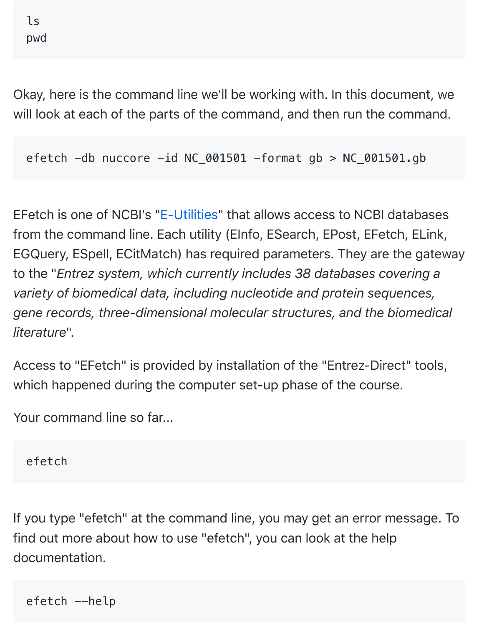Okay, here is the command line we'll be working with. In this document, we will look at each of the parts of the command, and then run the command.

efetch  $-db$  nuccore  $-id NC_001501 -format gb > NC_001501.gb$ 

EFetch is one of NCBI's "E-Utilities" that allows access to NCBI databases from the command line. Each utility (EInfo, ESearch, EPost, EFetch, ELink, EGQuery, ESpell, ECitMatch) has required parameters. They are the gateway to the "*Entrez system, which currently includes 38 databases covering a variety of biomedical data, including nucleotide and protein sequences, gene records, three-dimensional molecular structures, and the biomedical literature*".

Access to "EFetch" is provided by installation of the "Entrez-Direct" tools, which happened during the computer set-up phase of the course.

Your command line so far...

efetch

If you type "efetch" at the command line, you may get an error message. To find out more about how to use "efetch", you can look at the help documentation.

efetch --help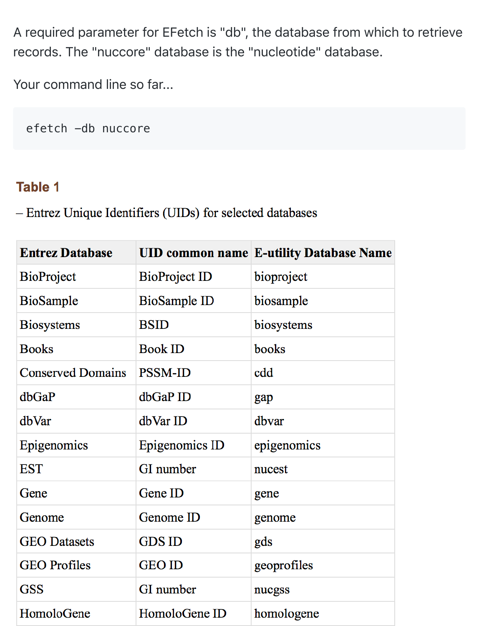A required parameter for EFetch is "db", the database from which to retrieve records. The "nuccore" database is the "nucleotide" database.

Your command line so far...

efetch -db nuccore

## **Table 1**

- Entrez Unique Identifiers (UIDs) for selected databases

| <b>Entrez Database</b>   |                      | <b>UID common name E-utility Database Name</b> |
|--------------------------|----------------------|------------------------------------------------|
| <b>BioProject</b>        | <b>BioProject ID</b> | bioproject                                     |
| <b>BioSample</b>         | <b>BioSample ID</b>  | biosample                                      |
| <b>Biosystems</b>        | <b>BSID</b>          | biosystems                                     |
| <b>Books</b>             | <b>Book ID</b>       | books                                          |
| <b>Conserved Domains</b> | <b>PSSM-ID</b>       | cdd                                            |
| dbGaP                    | dbGaP ID             | gap                                            |
| dbVar                    | dbVar ID             | dbvar                                          |
| Epigenomics              | Epigenomics ID       | epigenomics                                    |
| <b>EST</b>               | GI number            | nucest                                         |
| Gene                     | Gene ID              | gene                                           |
| Genome                   | Genome ID            | genome                                         |
| <b>GEO</b> Datasets      | <b>GDS ID</b>        | gds                                            |
| <b>GEO</b> Profiles      | <b>GEO ID</b>        | geoprofiles                                    |
| <b>GSS</b>               | GI number            | nucgss                                         |
| HomoloGene               | HomoloGene ID        | homologene                                     |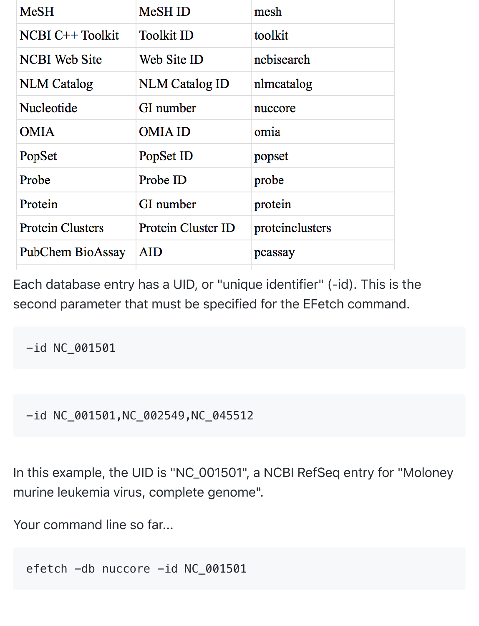| <b>MeSH</b>             | <b>MeSH ID</b>            | mesh            |
|-------------------------|---------------------------|-----------------|
| <b>NCBI C++ Toolkit</b> | <b>Toolkit ID</b>         | toolkit         |
| <b>NCBI</b> Web Site    | Web Site ID               | nchisearch      |
| <b>NLM</b> Catalog      | <b>NLM Catalog ID</b>     | nlmcatalog      |
| Nucleotide              | GI number                 | nuccore         |
| <b>OMIA</b>             | <b>OMIA ID</b>            | omia            |
| PopSet                  | PopSet ID                 | popset          |
| Probe                   | Probe ID                  | probe           |
| Protein                 | GI number                 | protein         |
| <b>Protein Clusters</b> | <b>Protein Cluster ID</b> | proteinclusters |
| PubChem BioAssay        | AID                       | pcassay         |

Each database entry has a UID, or "unique identifier" (-id). This is the second parameter that must be specified for the EFetch command.

-id NC\_001501

-id NC\_001501,NC\_002549,NC\_045512

In this example, the UID is "NC\_001501", a NCBI RefSeq entry for "Moloney murine leukemia virus, complete genome".

Your command line so far...

efetch -db nuccore -id NC\_001501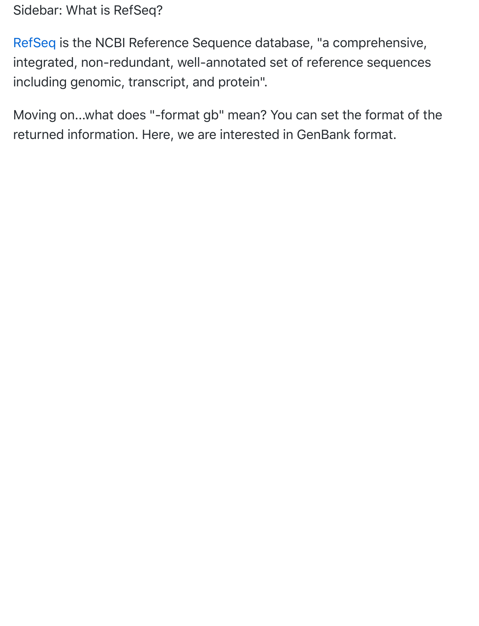[Sidebar](https://www.ncbi.nlm.nih.gov/refseq/): What is RefSeq?

RefSeq is the NCBI Reference Sequence database, "a comprehensive, integrated, non-redundant, well-annotated set of reference sequences including genomic, transcript, and protein".

Moving on...what does "-format gb" mean? You can set the format of the returned information. Here, we are interested in GenBank format.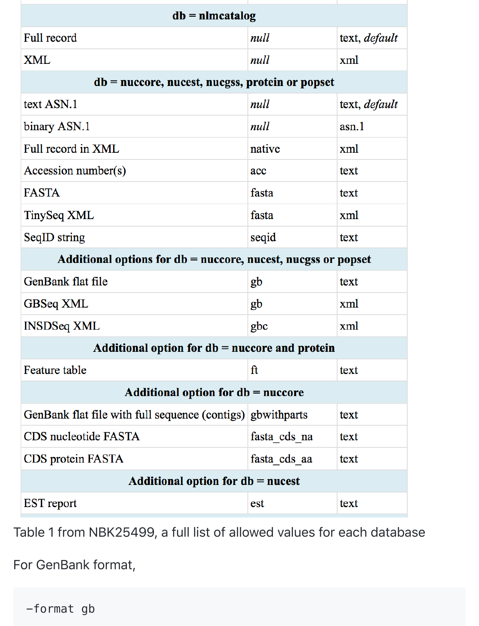| $db = nImcatalog$                                                |              |                      |
|------------------------------------------------------------------|--------------|----------------------|
| <b>Full record</b>                                               | null         | text, <i>default</i> |
| <b>XML</b>                                                       | null         | xml                  |
| $db = nucleor$ , nucest, nucess, protein or popset               |              |                      |
| text ASN.1                                                       | null         | text, <i>default</i> |
| binary ASN.1                                                     | null         | asn.1                |
| Full record in XML                                               | native       | xml                  |
| Accession number(s)                                              | acc          | text                 |
| <b>FASTA</b>                                                     | fasta        | text                 |
| TinySeq XML                                                      | fasta        | xml                  |
| SeqID string                                                     | seqid        | text                 |
| Additional options for $db = nucleor$ , nucest, nucess or popset |              |                      |
| GenBank flat file                                                | gb           | text                 |
| GBSeq XML                                                        | gb           | xml                  |
| <b>INSDSeq XML</b>                                               | gbc          | xml                  |
| Additional option for $db = nucle$ and protein                   |              |                      |
| Feature table                                                    | ft           | text                 |
| Additional option for $db = nucle$                               |              |                      |
| GenBank flat file with full sequence (contigs) gbwithparts       |              | text                 |
| CDS nucleotide FASTA                                             | fasta cds na | text                 |
| CDS protein FASTA                                                | fasta cds aa | text                 |
| Additional option for $db = nucest$                              |              |                      |
| <b>EST</b> report                                                | est          | text                 |

Table 1 from NBK25499, a full list of allowed values for each database

For GenBank format,

-format gb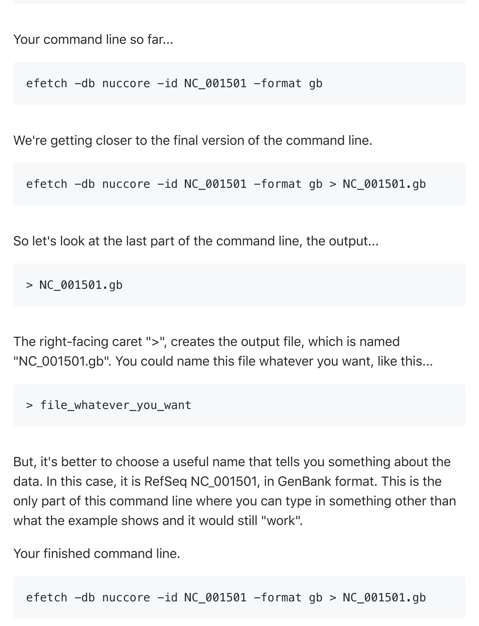Your command line so far...

efetch -db nuccore -id NC\_001501 -format gb

We're getting closer to the final version of the command line.

efetch  $-db$  nuccore  $-id NC_001501 -format gb > NC_001501.gb$ 

So let's look at the last part of the command line, the output...

 $> NC_001501$ .gb

The right-facing caret ">", creates the output file, which is named "NC\_001501.gb". You could name this file whatever you want, like this...

> file whatever you want

But, it's better to choose a useful name that tells you something about the data. In this case, it is RefSeq NC\_001501, in GenBank format. This is the only part of this command line where you can type in something other than what the example shows and it would still "work".

Your finished command line.

efetch  $-db$  nuccore  $-id NC_001501 -format gb > NC_001501.gb$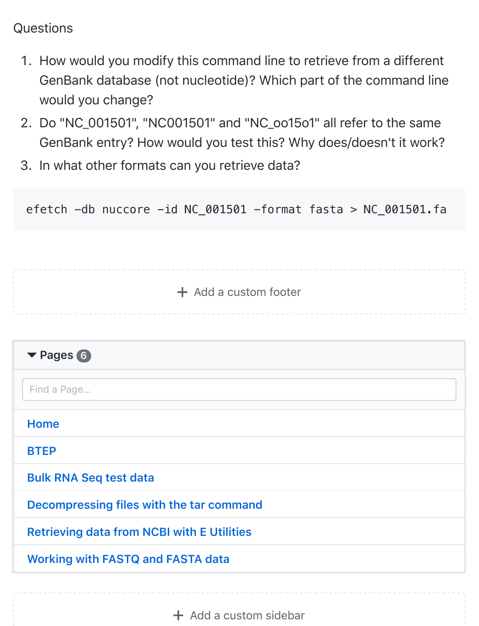## **Questions**

- 1. How would you modify this command line to retrieve from a different GenBank database (not nucleotide)? Which part of the command line would you change?
- e. Do "NC\_001501", "NC001501" and "NC\_oo15o1" all refer to the same GenBank entry? How would you test this? Why does/doesn't it work?
- g. In what other formats can you retrieve data?

| $+$ Add a custom footer<br>▼ Pages 6<br>Find a Page<br><b>Home</b> |
|--------------------------------------------------------------------|
|                                                                    |
|                                                                    |
|                                                                    |
|                                                                    |
|                                                                    |
|                                                                    |
| <b>BTEP</b>                                                        |
| <b>Bulk RNA Seq test data</b>                                      |
| Decompressing files with the tar command                           |
| <b>Retrieving data from NCBI with E Utilities</b>                  |
| <b>Working with FASTQ and FASTA data</b>                           |

 $+$  Add a custom sidebar